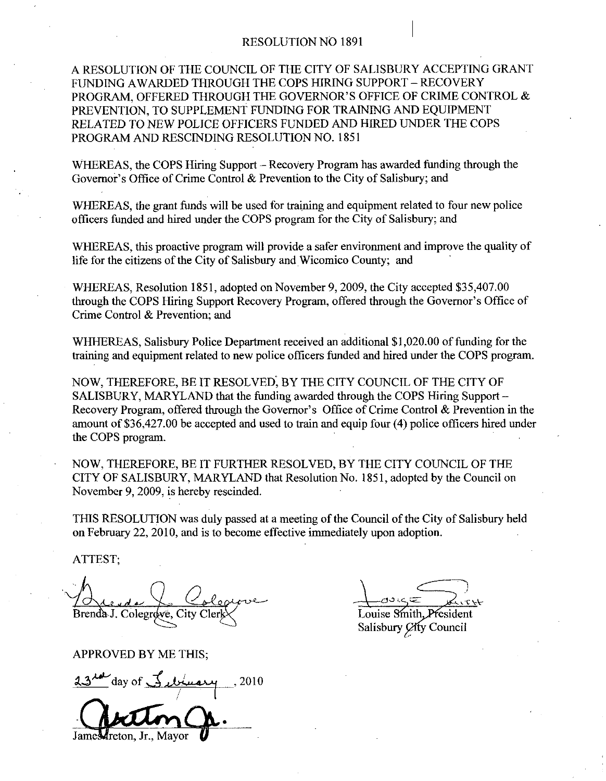## RESOLUTION NO 1891

A RESOLUTION OF THE COUNCIL OF THE CITY OF SALISBURY ACCEPTING GRANT FUNDING AWARDED THROUGH THE COPS HIRING SUPPORT - RECOVERY RESOLUTION NO 1891<br>A RESOLUTION OF THE COUNCIL OF THE CITY OF SALISBURY ACCEPTING GRA<br>FUNDING AWARDED THROUGH THE COPS HIRING SUPPORT – RECOVERY<br>PROGRAM, OFFERED THROUGH THE GOVERNOR'S OFFICE OF CRIME CONTROL<br>PREVENTION, T PREVENTION, TO SUPPLEMENT FUNDING FOR TRAINING AND EQUIPMENT RELATED TO NEW POLICE OFFICERS FUNDED AND HIRED UNDER THE COPS PROGRAM AND RESCINDING RESOLUTION NO. 1851 PROGRAM, OFFERED THROUGH THE GOVERNOR'S OFFICE OF CRIM<br>PREVENTION, TO SUPPLEMENT FUNDING FOR TRAINING AND EQU<br>RELATED TO NEW POLICE OFFICERS FUNDED AND HIRED UNDER 7<br>PROGRAM AND RESCINDING RESOLUTION NO. 1851<br>WHEREAS, the

WHEREAS, the COPS Hiring Support – Recovery Program has awarded funding through the Governor's Office of Crime Control & Prevention to the City of Salisbury; and

WHEREAS, the grant funds will be used for training and equipment related to four new police officers funded and hired under the COPS program for the City of Salisbury; and

WHEREAS, this proactive program will provide a safer environment and improve the quality of life for the citizens of the City of Salisbury and Wicomico County; and

WHEREAS, Resolution 1851, adopted on November 9, 2009, the City accepted \$35,407.00 WHEREAS, this proactive program will provide a safer environment and improve the quality of life for the citizens of the City of Salisbury and Wicomico County; and WHEREAS, Resolution 1851, adopted on November 9, 2009, the Crime Control & Prevention; and WHEREAS, Resolution 1851, adopted on November 9, 2009, the City accepted \$35,407.00 through the COPS Hiring Support Recovery Program, offered through the Governor's Office of Crime Control & Prevention; and<br>WHHEREAS, Salis

training and equipment related to new police officers funded and hired under the COPS program.

NOW, THEREFORE, BE IT RESOLVED, BY THE CITY COUNCIL OF THE CITY OF SALISBURY, MARYLAND that the funding awarded through the COPS Hiring Support WHHEREAS, Salisbury Police Department received an additional \$1,020.00 of funding for the<br>training and equipment related to new police officers funded and hired under the COPS program.<br>NOW, THEREFORE, BE IT RESOLVED, BY TH Recovery Program, offered through the Governor's Office of Crime Control & Prevention in the amount of \$36,427.00 be accepted and used to train and equip four  $(4)$  police officers hired under the COPS program

NOW, THEREFORE, BE IT FURTHER RESOLVED, BY THE CITY COUNCIL OF THE CITY OF SALISBURY, MARYLAND that Resolution No. 1851, adopted by the Council on November 9, 2009, is hereby rescinded.

THIS RESOLUTION was duly passed at a meeting of the Council of the City of Salisbury held on February 22, 2010, and is to become effective immediately upon adoption.

ATTEST

Brenda J. Colegrove, City C

APPROVED BY ME THIS

Brenda J. C<br>APPROVE<br>23<sup>14</sup> day Auguste Lade<br>Prendre Colegrave, City Clerk<br>PPROVED BY ME THIS;<br>3rd day of Surinary of Sibrary 2010 James Treton, Jr., Mayor

Louise Smith President Salisbury *City* Council